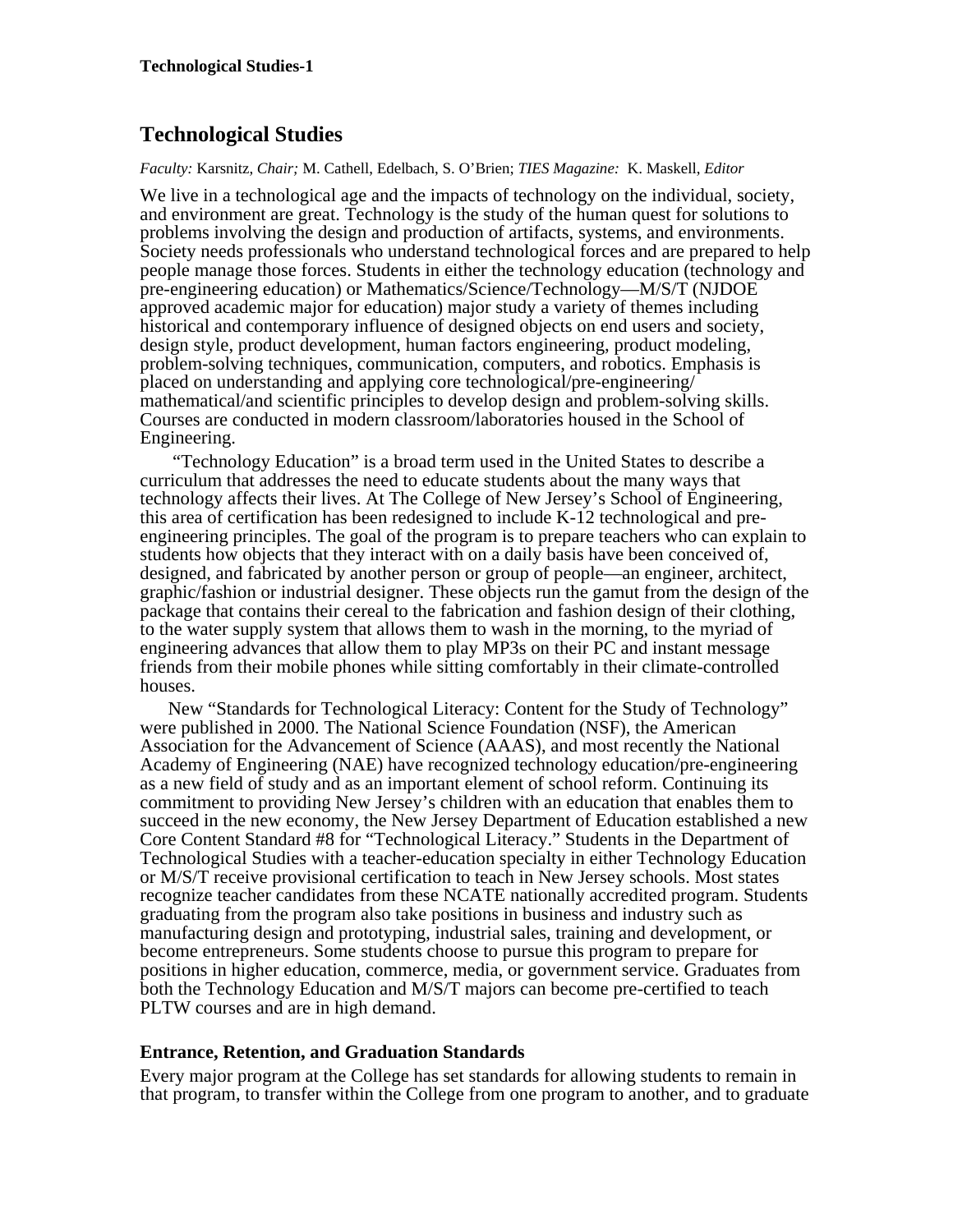# **Technological Studies**

*Faculty:* Karsnitz, *Chair;* M. Cathell, Edelbach, S. O'Brien; *TIES Magazine:* K. Maskell, *Editor* 

We live in a technological age and the impacts of technology on the individual, society, and environment are great. Technology is the study of the human quest for solutions to problems involving the design and production of artifacts, systems, and environments. Society needs professionals who understand technological forces and are prepared to help people manage those forces. Students in either the technology education (technology and pre-engineering education) or Mathematics/Science/Technology—M/S/T (NJDOE approved academic major for education) major study a variety of themes including historical and contemporary influence of designed objects on end users and society, design style, product development, human factors engineering, product modeling, problem-solving techniques, communication, computers, and robotics. Emphasis is placed on understanding and applying core technological/pre-engineering/ mathematical/and scientific principles to develop design and problem-solving skills. Courses are conducted in modern classroom/laboratories housed in the School of Engineering.

 "Technology Education" is a broad term used in the United States to describe a curriculum that addresses the need to educate students about the many ways that technology affects their lives. At The College of New Jersey's School of Engineering, this area of certification has been redesigned to include K-12 technological and preengineering principles. The goal of the program is to prepare teachers who can explain to students how objects that they interact with on a daily basis have been conceived of, designed, and fabricated by another person or group of people—an engineer, architect, graphic/fashion or industrial designer. These objects run the gamut from the design of the package that contains their cereal to the fabrication and fashion design of their clothing, to the water supply system that allows them to wash in the morning, to the myriad of engineering advances that allow them to play MP3s on their PC and instant message friends from their mobile phones while sitting comfortably in their climate-controlled houses.

New "Standards for Technological Literacy: Content for the Study of Technology" were published in 2000. The National Science Foundation (NSF), the American Association for the Advancement of Science (AAAS), and most recently the National Academy of Engineering (NAE) have recognized technology education/pre-engineering as a new field of study and as an important element of school reform. Continuing its commitment to providing New Jersey's children with an education that enables them to succeed in the new economy, the New Jersey Department of Education established a new Core Content Standard #8 for "Technological Literacy." Students in the Department of Technological Studies with a teacher-education specialty in either Technology Education or M/S/T receive provisional certification to teach in New Jersey schools. Most states recognize teacher candidates from these NCATE nationally accredited program. Students graduating from the program also take positions in business and industry such as manufacturing design and prototyping, industrial sales, training and development, or become entrepreneurs. Some students choose to pursue this program to prepare for positions in higher education, commerce, media, or government service. Graduates from both the Technology Education and M/S/T majors can become pre-certified to teach PLTW courses and are in high demand.

# **Entrance, Retention, and Graduation Standards**

Every major program at the College has set standards for allowing students to remain in that program, to transfer within the College from one program to another, and to graduate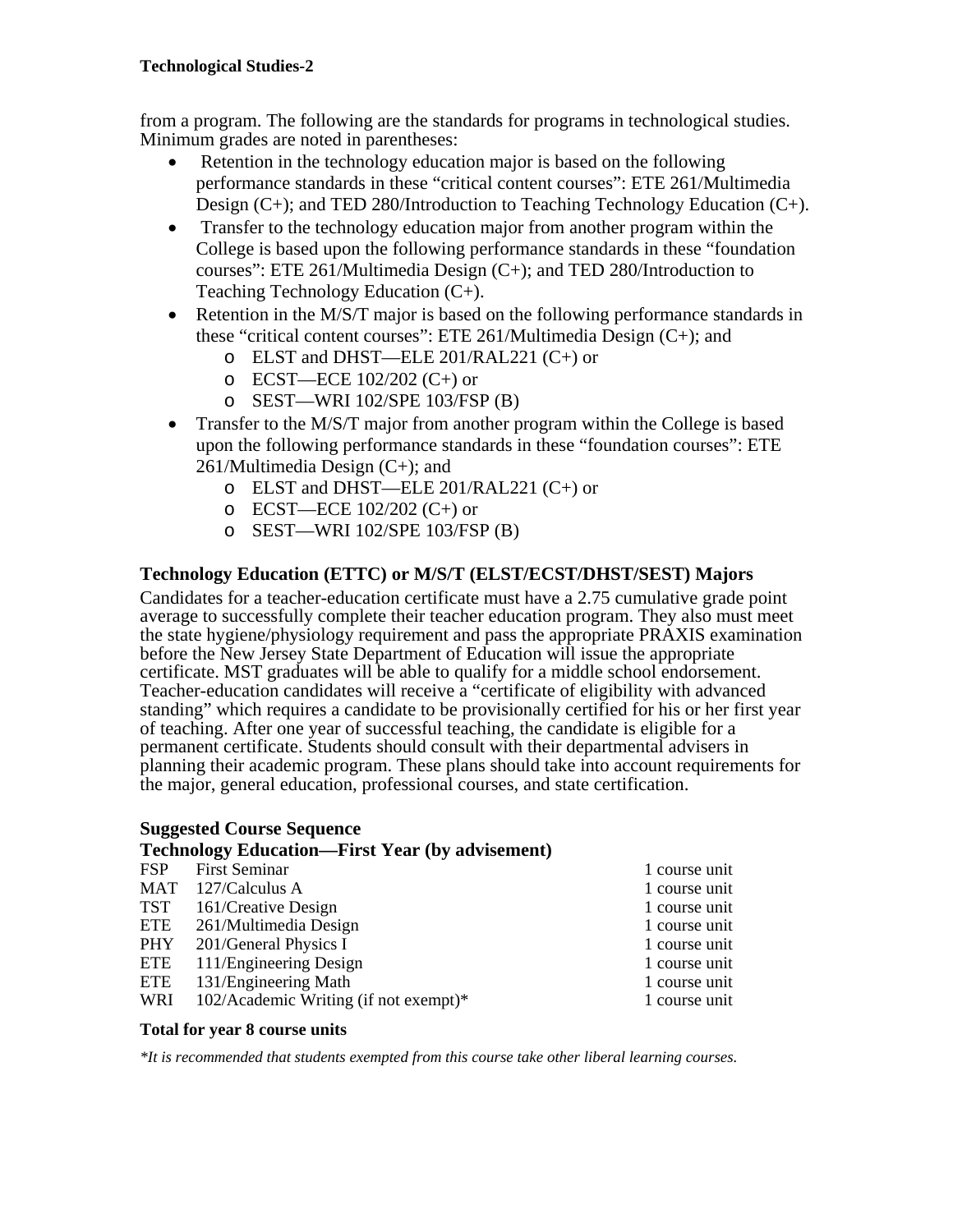from a program. The following are the standards for programs in technological studies. Minimum grades are noted in parentheses:

- Retention in the technology education major is based on the following performance standards in these "critical content courses": ETE 261/Multimedia Design (C+); and TED 280/Introduction to Teaching Technology Education (C+).
- Transfer to the technology education major from another program within the College is based upon the following performance standards in these "foundation courses": ETE 261/Multimedia Design (C+); and TED 280/Introduction to Teaching Technology Education (C+).
- Retention in the M/S/T major is based on the following performance standards in these "critical content courses": ETE 261/Multimedia Design (C+); and
	- o ELST and DHST—ELE 201/RAL221 (C+) or
	- $\circ$  ECST—ECE 102/202 (C+) or
	- o SEST—WRI 102/SPE 103/FSP (B)
- Transfer to the M/S/T major from another program within the College is based upon the following performance standards in these "foundation courses": ETE 261/Multimedia Design (C+); and
	- o ELST and DHST—ELE 201/RAL221 (C+) or
	- $O$  ECST—ECE 102/202 (C+) or
	- o SEST—WRI 102/SPE 103/FSP (B)

# **Technology Education (ETTC) or M/S/T (ELST/ECST/DHST/SEST) Majors**

Candidates for a teacher-education certificate must have a 2.75 cumulative grade point average to successfully complete their teacher education program. They also must meet the state hygiene/physiology requirement and pass the appropriate PRAXIS examination before the New Jersey State Department of Education will issue the appropriate certificate. MST graduates will be able to qualify for a middle school endorsement. Teacher-education candidates will receive a "certificate of eligibility with advanced standing" which requires a candidate to be provisionally certified for his or her first year of teaching. After one year of successful teaching, the candidate is eligible for a permanent certificate. Students should consult with their departmental advisers in planning their academic program. These plans should take into account requirements for the major, general education, professional courses, and state certification.

### **Suggested Course Sequence**

### **Technology Education—First Year (by advisement)**

| 1 course unit |
|---------------|
| 1 course unit |
| 1 course unit |
| 1 course unit |
| 1 course unit |
| 1 course unit |
| 1 course unit |
| 1 course unit |
|               |

### **Total for year 8 course units**

*\*It is recommended that students exempted from this course take other liberal learning courses.*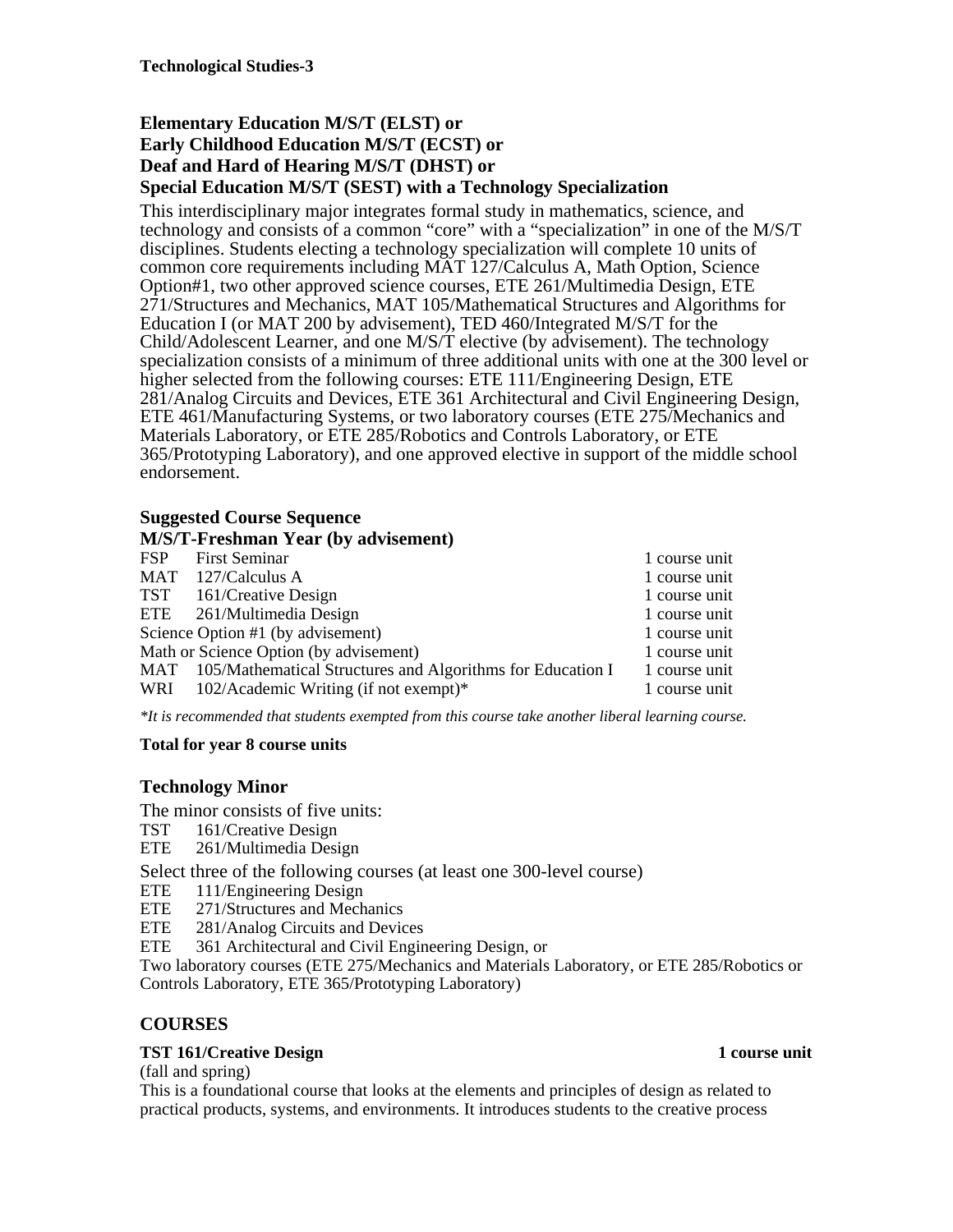# **Elementary Education M/S/T (ELST) or Early Childhood Education M/S/T (ECST) or Deaf and Hard of Hearing M/S/T (DHST) or**

**Special Education M/S/T (SEST) with a Technology Specialization** 

This interdisciplinary major integrates formal study in mathematics, science, and technology and consists of a common "core" with a "specialization" in one of the M/S/T disciplines. Students electing a technology specialization will complete 10 units of common core requirements including MAT 127/Calculus A, Math Option, Science Option#1, two other approved science courses, ETE 261/Multimedia Design, ETE 271/Structures and Mechanics, MAT 105/Mathematical Structures and Algorithms for Education I (or MAT 200 by advisement), TED 460/Integrated M/S/T for the Child/Adolescent Learner, and one M/S/T elective (by advisement). The technology specialization consists of a minimum of three additional units with one at the 300 level or higher selected from the following courses: ETE 111/Engineering Design, ETE 281/Analog Circuits and Devices, ETE 361 Architectural and Civil Engineering Design, ETE 461/Manufacturing Systems, or two laboratory courses (ETE 275/Mechanics and Materials Laboratory, or ETE 285/Robotics and Controls Laboratory, or ETE 365/Prototyping Laboratory), and one approved elective in support of the middle school endorsement.

### **Suggested Course Sequence**

#### **M/S/T-Freshman Year (by advisement)**

| FSP First Seminar                                              | 1 course unit |
|----------------------------------------------------------------|---------------|
| MAT 127/Calculus A                                             | 1 course unit |
| TST 161/Creative Design                                        | 1 course unit |
| ETE 261/Multimedia Design                                      | 1 course unit |
| Science Option #1 (by advisement)                              | 1 course unit |
| Math or Science Option (by advisement)                         | 1 course unit |
| MAT 105/Mathematical Structures and Algorithms for Education I | 1 course unit |
| WRI $102/A$ cademic Writing (if not exempt)*                   | 1 course unit |
|                                                                |               |

*\*It is recommended that students exempted from this course take another liberal learning course.* 

### **Total for year 8 course units**

# **Technology Minor**

The minor consists of five units:

- TST 161/Creative Design
- ETE 261/Multimedia Design

Select three of the following courses (at least one 300-level course)

- ETE 111/Engineering Design
- ETE 271/Structures and Mechanics
- ETE 281/Analog Circuits and Devices

ETE 361 Architectural and Civil Engineering Design, or

Two laboratory courses (ETE 275/Mechanics and Materials Laboratory, or ETE 285/Robotics or Controls Laboratory, ETE 365/Prototyping Laboratory)

# **COURSES**

### **TST 161/Creative Design 1 course unit 1 course unit**

(fall and spring)

This is a foundational course that looks at the elements and principles of design as related to practical products, systems, and environments. It introduces students to the creative process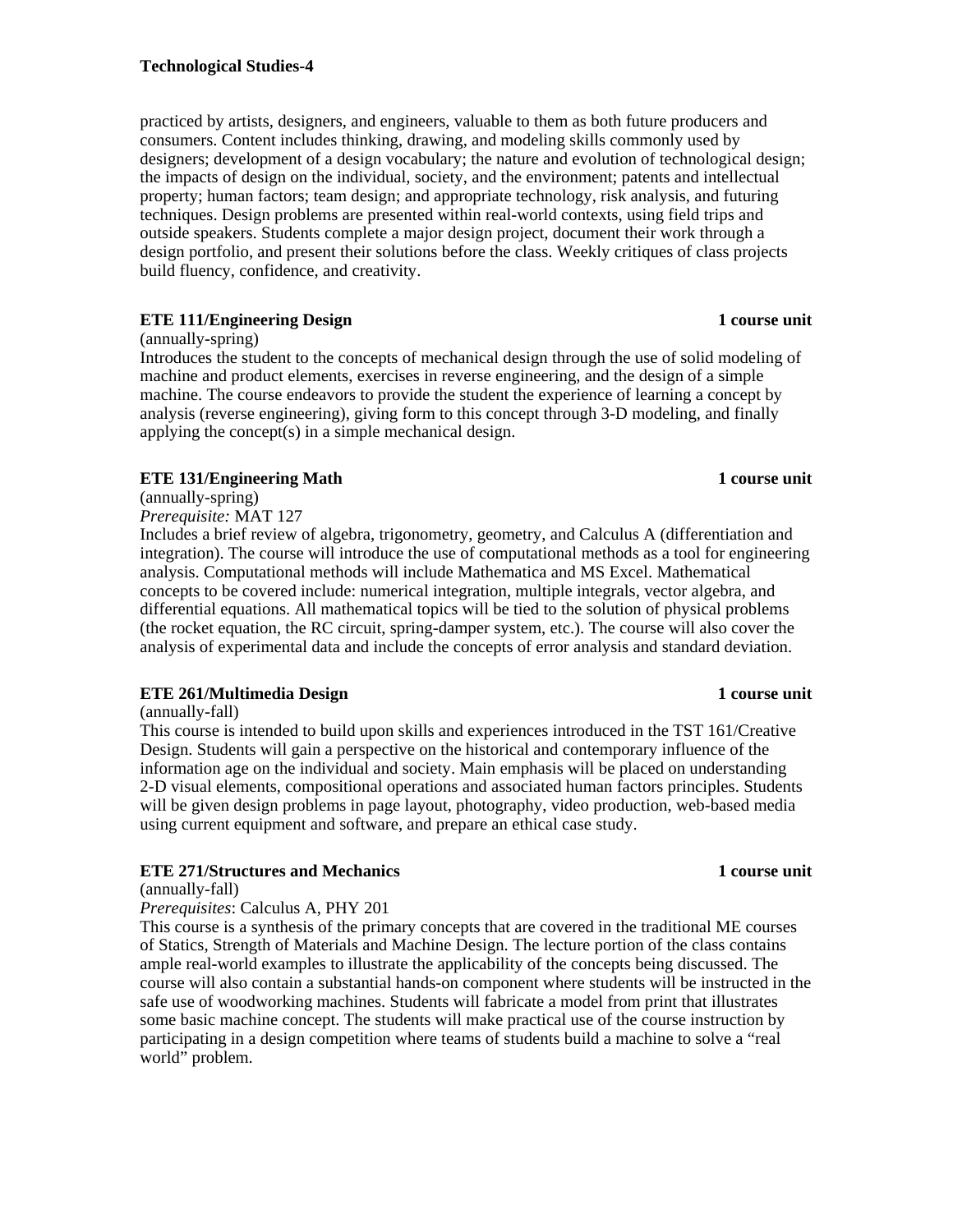#### **Technological Studies-4**

practiced by artists, designers, and engineers, valuable to them as both future producers and consumers. Content includes thinking, drawing, and modeling skills commonly used by designers; development of a design vocabulary; the nature and evolution of technological design; the impacts of design on the individual, society, and the environment; patents and intellectual property; human factors; team design; and appropriate technology, risk analysis, and futuring techniques. Design problems are presented within real-world contexts, using field trips and outside speakers. Students complete a major design project, document their work through a design portfolio, and present their solutions before the class. Weekly critiques of class projects build fluency, confidence, and creativity.

# **ETE 111/Engineering Design 1 course unit 1 course unit**

(annually-spring)

Introduces the student to the concepts of mechanical design through the use of solid modeling of machine and product elements, exercises in reverse engineering, and the design of a simple machine. The course endeavors to provide the student the experience of learning a concept by analysis (reverse engineering), giving form to this concept through 3-D modeling, and finally applying the concept(s) in a simple mechanical design.

# **ETE 131/Engineering Math** 1 course unit

(annually-spring)

*Prerequisite:* MAT 127

Includes a brief review of algebra, trigonometry, geometry, and Calculus A (differentiation and integration). The course will introduce the use of computational methods as a tool for engineering analysis. Computational methods will include Mathematica and MS Excel. Mathematical concepts to be covered include: numerical integration, multiple integrals, vector algebra, and differential equations. All mathematical topics will be tied to the solution of physical problems (the rocket equation, the RC circuit, spring-damper system, etc.). The course will also cover the analysis of experimental data and include the concepts of error analysis and standard deviation.

### **ETE 261/Multimedia Design 1 course unit 1 course unit**

(annually-fall)

This course is intended to build upon skills and experiences introduced in the TST 161/Creative Design. Students will gain a perspective on the historical and contemporary influence of the information age on the individual and society. Main emphasis will be placed on understanding 2-D visual elements, compositional operations and associated human factors principles. Students will be given design problems in page layout, photography, video production, web-based media using current equipment and software, and prepare an ethical case study.

### **ETE 271/Structures and Mechanics 1 course unit 1 course unit**

(annually-fall)

*Prerequisites*: Calculus A, PHY 201

This course is a synthesis of the primary concepts that are covered in the traditional ME courses of Statics, Strength of Materials and Machine Design. The lecture portion of the class contains ample real-world examples to illustrate the applicability of the concepts being discussed. The course will also contain a substantial hands-on component where students will be instructed in the safe use of woodworking machines. Students will fabricate a model from print that illustrates some basic machine concept. The students will make practical use of the course instruction by participating in a design competition where teams of students build a machine to solve a "real world" problem.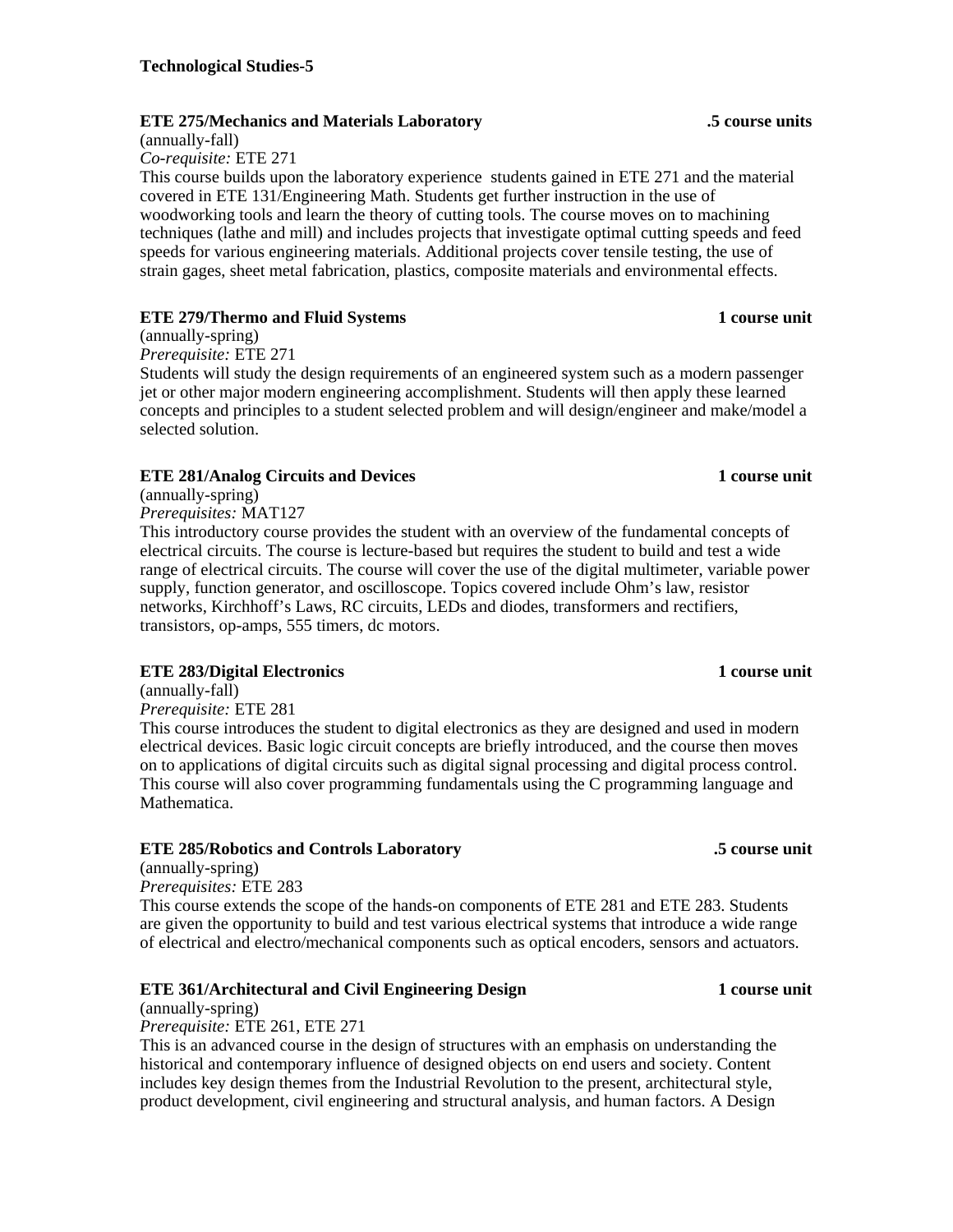# **ETE 275/Mechanics and Materials Laboratory .5 course units**

(annually-fall)

*Co-requisite:* ETE 271

This course builds upon the laboratory experience students gained in ETE 271 and the material covered in ETE 131/Engineering Math. Students get further instruction in the use of woodworking tools and learn the theory of cutting tools. The course moves on to machining techniques (lathe and mill) and includes projects that investigate optimal cutting speeds and feed speeds for various engineering materials. Additional projects cover tensile testing, the use of strain gages, sheet metal fabrication, plastics, composite materials and environmental effects.

# **ETE 279/Thermo and Fluid Systems 1 course unit 1 course unit 1 course unit**

(annually-spring)

*Prerequisite:* ETE 271

Students will study the design requirements of an engineered system such as a modern passenger jet or other major modern engineering accomplishment. Students will then apply these learned concepts and principles to a student selected problem and will design/engineer and make/model a selected solution.

# **ETE 281/Analog Circuits and Devices** 1 course unit **1** course unit

(annually-spring)

*Prerequisites:* MAT127

This introductory course provides the student with an overview of the fundamental concepts of electrical circuits. The course is lecture-based but requires the student to build and test a wide range of electrical circuits. The course will cover the use of the digital multimeter, variable power supply, function generator, and oscilloscope. Topics covered include Ohm's law, resistor networks, Kirchhoff's Laws, RC circuits, LEDs and diodes, transformers and rectifiers, transistors, op-amps, 555 timers, dc motors.

# **ETE 283/Digital Electronics** 1 course unit 1 course unit

(annually-fall)

*Prerequisite:* ETE 281

This course introduces the student to digital electronics as they are designed and used in modern electrical devices. Basic logic circuit concepts are briefly introduced, and the course then moves on to applications of digital circuits such as digital signal processing and digital process control. This course will also cover programming fundamentals using the C programming language and Mathematica.

# **ETE 285/Robotics and Controls Laboratory .5 course unit**

(annually-spring) *Prerequisites:* ETE 283

This course extends the scope of the hands-on components of ETE 281 and ETE 283. Students are given the opportunity to build and test various electrical systems that introduce a wide range of electrical and electro/mechanical components such as optical encoders, sensors and actuators.

# **ETE 361/Architectural and Civil Engineering Design 1 course unit 1 course unit**

(annually-spring)

# *Prerequisite:* ETE 261, ETE 271

This is an advanced course in the design of structures with an emphasis on understanding the historical and contemporary influence of designed objects on end users and society. Content includes key design themes from the Industrial Revolution to the present, architectural style, product development, civil engineering and structural analysis, and human factors. A Design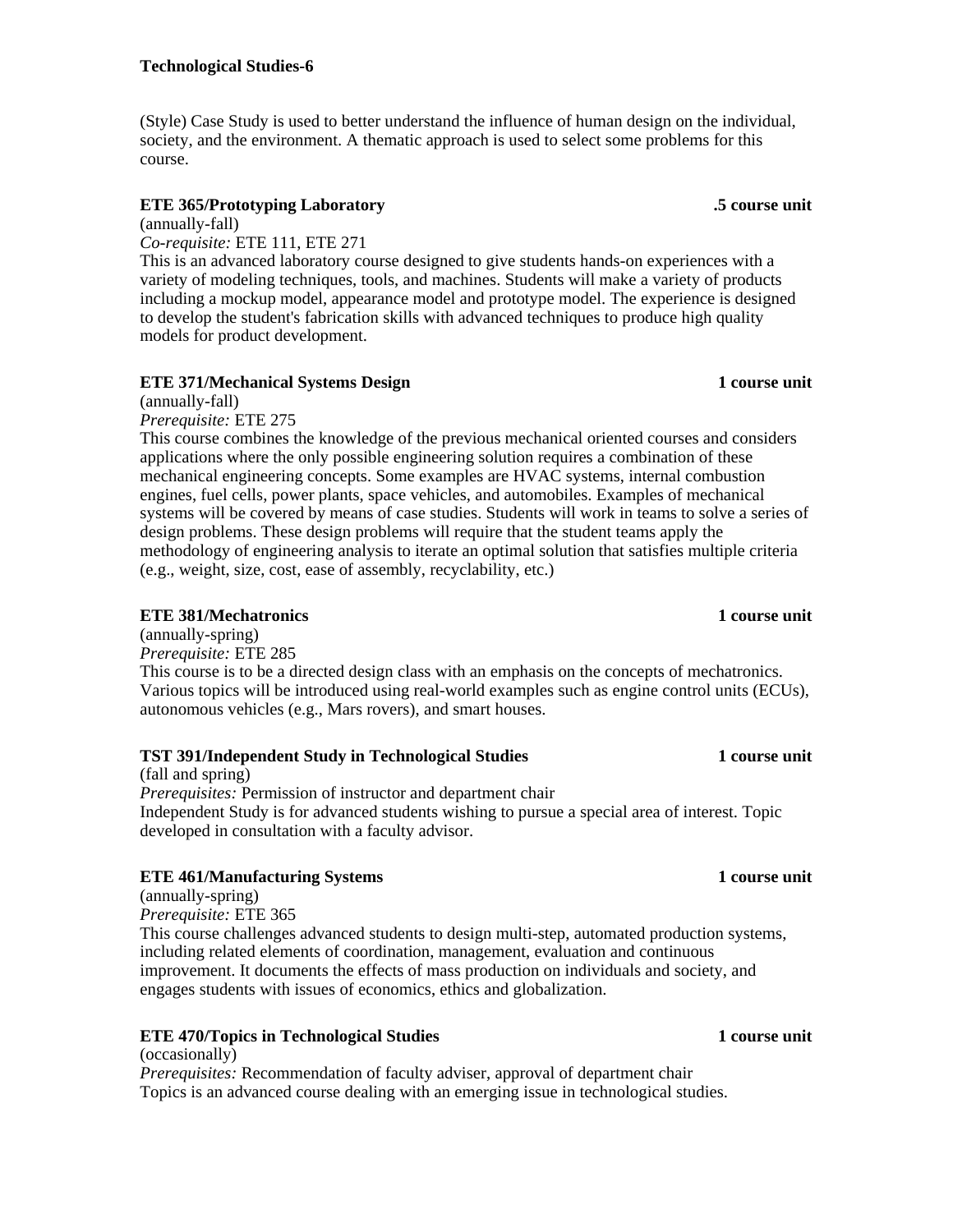(Style) Case Study is used to better understand the influence of human design on the individual, society, and the environment. A thematic approach is used to select some problems for this course.

# **ETE 365/Prototyping Laboratory .5 course unit**

(annually-fall)

*Co-requisite:* ETE 111, ETE 271

This is an advanced laboratory course designed to give students hands-on experiences with a variety of modeling techniques, tools, and machines. Students will make a variety of products including a mockup model, appearance model and prototype model. The experience is designed to develop the student's fabrication skills with advanced techniques to produce high quality models for product development.

# **ETE 371/Mechanical Systems Design 1 course unit 1 course unit**

(annually-fall)

*Prerequisite:* ETE 275

This course combines the knowledge of the previous mechanical oriented courses and considers applications where the only possible engineering solution requires a combination of these mechanical engineering concepts. Some examples are HVAC systems, internal combustion engines, fuel cells, power plants, space vehicles, and automobiles. Examples of mechanical systems will be covered by means of case studies. Students will work in teams to solve a series of design problems. These design problems will require that the student teams apply the methodology of engineering analysis to iterate an optimal solution that satisfies multiple criteria (e.g., weight, size, cost, ease of assembly, recyclability, etc.)

# **ETE 381/Mechatronics** 1 course unit

(annually-spring) *Prerequisite:* ETE 285 This course is to be a directed design class with an emphasis on the concepts of mechatronics. Various topics will be introduced using real-world examples such as engine control units (ECUs), autonomous vehicles (e.g., Mars rovers), and smart houses.

# **TST 391/Independent Study in Technological Studies 1 course unit 1 course unit**

(fall and spring) *Prerequisites:* Permission of instructor and department chair Independent Study is for advanced students wishing to pursue a special area of interest. Topic developed in consultation with a faculty advisor.

# **ETE 461/Manufacturing Systems** 1 course unit

(annually-spring) *Prerequisite:* ETE 365 This course challenges advanced students to design multi-step, automated production systems, including related elements of coordination, management, evaluation and continuous improvement. It documents the effects of mass production on individuals and society, and engages students with issues of economics, ethics and globalization.

# **ETE 470/Topics in Technological Studies 1 course unit 1 course unit**

(occasionally) *Prerequisites:* Recommendation of faculty adviser, approval of department chair Topics is an advanced course dealing with an emerging issue in technological studies.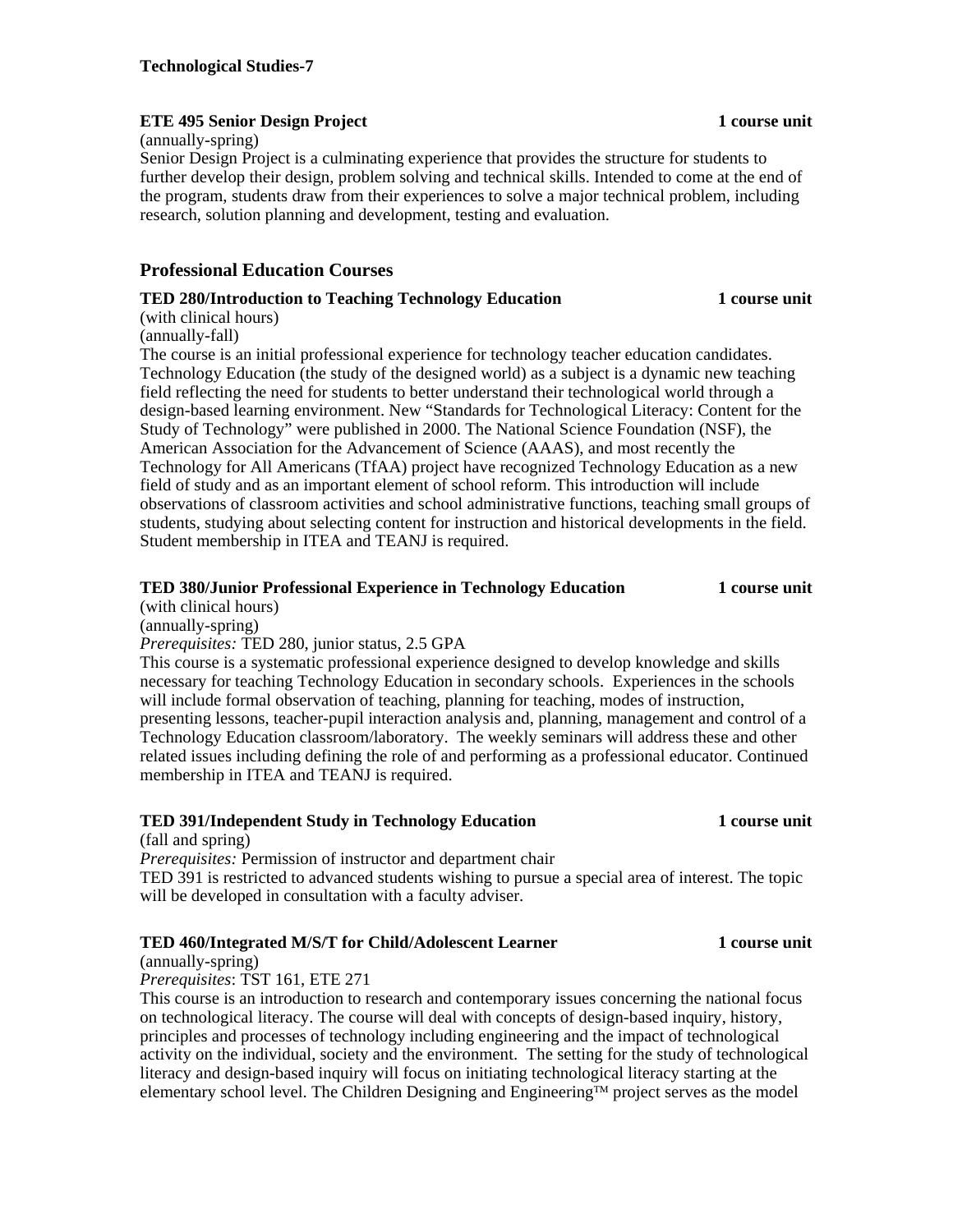### **ETE 495 Senior Design Project** 1 course unit **1** course unit

(annually-spring)

Senior Design Project is a culminating experience that provides the structure for students to further develop their design, problem solving and technical skills. Intended to come at the end of the program, students draw from their experiences to solve a major technical problem, including research, solution planning and development, testing and evaluation.

# **Professional Education Courses**

### **TED 280/Introduction to Teaching Technology Education 1 course unit**

(with clinical hours)

(annually-fall)

The course is an initial professional experience for technology teacher education candidates. Technology Education (the study of the designed world) as a subject is a dynamic new teaching field reflecting the need for students to better understand their technological world through a design-based learning environment. New "Standards for Technological Literacy: Content for the Study of Technology" were published in 2000. The National Science Foundation (NSF), the American Association for the Advancement of Science (AAAS), and most recently the Technology for All Americans (TfAA) project have recognized Technology Education as a new field of study and as an important element of school reform. This introduction will include observations of classroom activities and school administrative functions, teaching small groups of students, studying about selecting content for instruction and historical developments in the field. Student membership in ITEA and TEANJ is required.

#### **TED 380/Junior Professional Experience in Technology Education 1 course unit**

(with clinical hours)

(annually-spring)

*Prerequisites:* TED 280, junior status, 2.5 GPA

This course is a systematic professional experience designed to develop knowledge and skills necessary for teaching Technology Education in secondary schools. Experiences in the schools will include formal observation of teaching, planning for teaching, modes of instruction, presenting lessons, teacher-pupil interaction analysis and, planning, management and control of a Technology Education classroom/laboratory. The weekly seminars will address these and other related issues including defining the role of and performing as a professional educator. Continued membership in ITEA and TEANJ is required.

### **TED 391/Independent Study in Technology Education 1 course unit 1 course unit**

(fall and spring)

*Prerequisites:* Permission of instructor and department chair TED 391 is restricted to advanced students wishing to pursue a special area of interest. The topic will be developed in consultation with a faculty adviser.

### **TED 460/Integrated M/S/T for Child/Adolescent Learner 1 course unit**

(annually-spring)

*Prerequisites*: TST 161, ETE 271

This course is an introduction to research and contemporary issues concerning the national focus on technological literacy. The course will deal with concepts of design-based inquiry, history, principles and processes of technology including engineering and the impact of technological activity on the individual, society and the environment. The setting for the study of technological literacy and design-based inquiry will focus on initiating technological literacy starting at the elementary school level. The Children Designing and Engineering™ project serves as the model